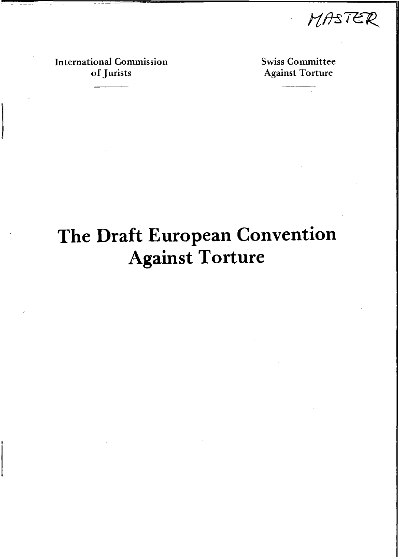MASTER

International Commission of Jurists

Swiss Committee Against Torture

# **The Draft European Convention Against Torture**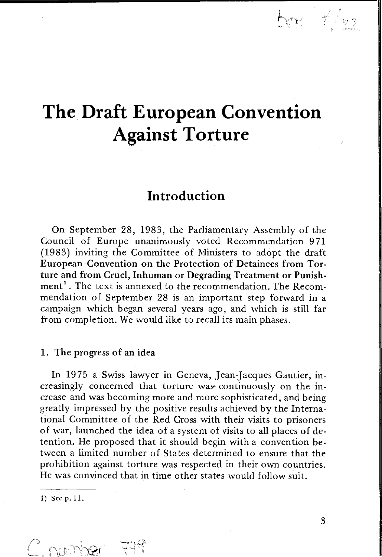# **The Draft European Convention Against Torture**

# **Introduction**

On September 28, 1983, the Parliamentary Assembly of the Council of Europe unanimously voted Recommendation 971 (1983) inviting the Committee of Ministers to adopt the draft European Convention on the Protection of Detainees from Torture and from Cruel, Inhuman or Degrading Treatment or Punishment<sup>1</sup>. The text is annexed to the recommendation. The Recommendation of September 28 is an important step forward in a campaign which began several years ago, and which is still far from completion. We would like to recall its main phases.

### 1. The progress of an idea

In 1975 a Swiss lawyer in Geneva, Jean-Jacques Gautier, increasingly concerned that torture was continuously on the increase and was becoming more and more sophisticated, and being greatly impressed by the positive results achieved by the International Committee of the Red Cross with their visits to prisoners of war, launched the idea of a system of visits to all places of detention. He proposed that it should begin with a convention between a limited number of States determined to ensure that the prohibition against torture was respected in their own countries. He was convinced that in time other states would follow suit.

1) See p. 11.

 $\sqrt{2}$ . nomber

3

 $b_{xx}$   $\frac{7}{2}$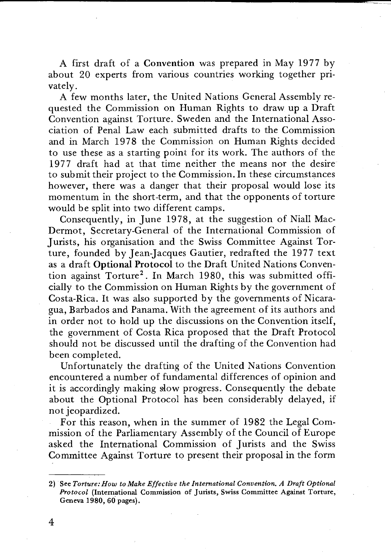A first draft of a Convention was prepared in May 1977 by about 20 experts from various countries working together privately.

A few months later, the United Nations General Assembly requested the Commission on Human Rights to draw up a Draft Convention against Torture. Sweden and the International Association of Penal Law each submitted drafts to the Commission and in March 1978 the Commission on Human Rights decided to use these as a starting point for its work. The authors of the 1977 draft had at that time neither the means nor the desire to submit their project to the Commission. In these circumstances however, there was a danger that their proposal would lose its momentum in the short-term, and that the opponents of torture would be split into two different camps.

Consequently, in June 1978, at the suggestion of Niall Mac-Dermot, Secretary-General of the International Commission of Jurists, his organisation and the Swiss Committee Against Torture, founded by Jean-Jacques Gautier, redrafted the 1977 text as a draft Optional Protocol to the Draft United Nations Convention against Torture<sup>2</sup>. In March 1980, this was submitted officially to the Commission on Human Rights by the government of Costa-Rica. It was also supported by the governments of Nicaragua, Barbados and Panama. With the agreement of its authors and in order not to hold up the discussions on the Convention itself, the government of Costa Rica proposed that the Draft Protocol should not be discussed until the drafting of the Convention had been completed.

Unfortunately the drafting of the United Nations Convention encountered a number of fundamental differences of opinion and it is accordingly making slow progress. Consequently the debate about the Optional Protocol has been considerably delayed, if not jeopardized.

For this reason, when in the summer of 1982 the Legal Commission of the Parliamentary Assembly of the Council of Europe asked the International Commission of Jurists and the Swiss Committee Against Torture to present their proposal in the form

**<sup>2)</sup> See** *Torture: How to Make E ffective the International Convention. A Draft Optional Protocol* **(International Commission of Jurists, Swiss Committee Against Torture, Geneva 1980, 60 pages).**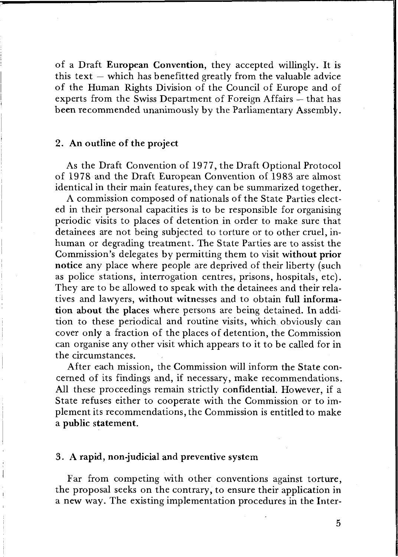of a Draft European Convention, they accepted willingly. It is this text  $-$  which has benefitted greatly from the valuable advice of the Human Rights Division of the Council of Europe and of experts from the Swiss Department of Foreign Affairs — that has been recommended unanimously by the Parliamentary Assembly.

#### 2. An outline of the project

As the Draft Convention of 1977, the Draft Optional Protocol of 1978 and the Draft European Convention of 1983 are almost identical in their main features, they can be summarized together.

A commission composed of nationals of the State Parties elected in their personal capacities is to be responsible for organising periodic visits to places of detention in order to make sure that detainees are not being subjected to torture or to other cruel, inhuman or degrading treatment. The State Parties are to assist the Commission's delegates by permitting them to visit without prior notice any place where people are deprived of their liberty (such as police stations, interrogation centres, prisons, hospitals, etc). They are to be allowed to speak with the detainees and their relatives and lawyers, without witnesses and to obtain full information about the places where persons are being detained. In addition to these periodical and routine visits, which obviously can cover only a fraction of the places of detention, the Commission can organise any other visit which appears to it to be called for in the circumstances.

After each mission, the Commission will inform the State concerned of its findings and, if necessary, make recommendations. All these proceedings remain strictly confidential. However, if a State refuses either to cooperate with the Commission or to implement its recommendations, the Commission is entitled to make a public statement.

# 3. A rapid, non-judicial and preventive system

Far from competing with other conventions against torture, the proposal seeks on the contrary, to ensure their application in a new way. The existing implementation procedures in the Inter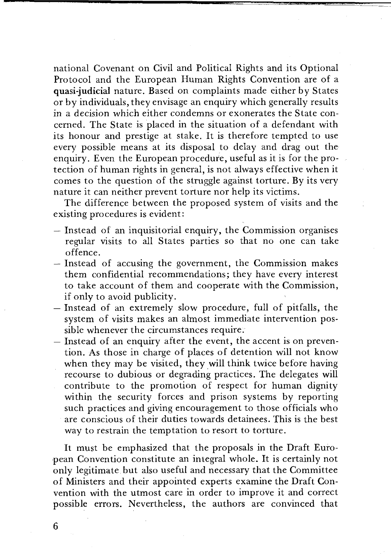national Covenant on Civil and Political Rights and its Optional Protocol and the European Human Rights Convention are of a quasi-judicial nature. Based on complaints made either by States or by individuals, they envisage an enquiry which generally results in a decision which either condemns or exonerates the State concerned. The State is placed in the situation of a defendant with its honour and prestige at stake. It is therefore tempted to use every possible means at its disposal to delay and drag out the enquiry. Even the European procedure, useful as it is for the protection of human rights in general, is not always effective when it comes to the question of the struggle against torture. By its very nature it can neither prevent torture nor help its victims.

The difference between the proposed system of visits and the existing procedures is evident:

- Instead of an inquisitorial enquiry, the Commission organises regular visits to all States parties so that no one can take offence.
- Instead of accusing the government, the Commission makes them confidential recommendations; they have every interest to take account of them and cooperate with the Commission, if only to avoid publicity.
- Instead of an extremely slow procedure, full of pitfalls, the system of visits makes an almost immediate intervention possible whenever the circumstances require.
- Instead of an enquiry after the event, the accent is on prevention. As those in charge of places of detention will not know when they may be visited, they will think twice before having recourse to dubious or degrading practices. The delegates will contribute to the promotion of respect for human dignity within the security forces and prison systems by reporting such practices and giving encouragement to those officials who are conscious of their duties towards detainees. This is the best way to restrain the temptation to resort to torture.

It must be emphasized that the proposals in the Draft European Convention constitute an integral whole. It is certainly not only legitimate but also useful and necessary that the Committee of Ministers and their appointed experts examine the Draft Convention with the utmost care in order to improve it and correct possible errors. Nevertheless, the authors are convinced that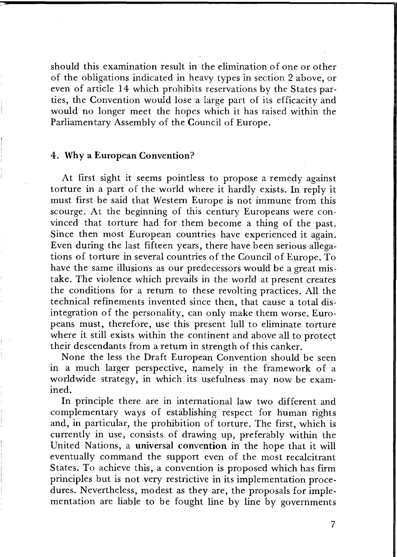should this examination result in the elimination of one or other of the obligations indicated in heavy types in section 2 above, or even of article 14 which prohibits reservations by the States parties, the Convention would lose a large part of its efficacity and would no longer meet the hopes which it has raised within the Parliamentary Assembly of the Council of Europe.

#### 4. Why a European Convention?

At first sight it seems pointless to propose a remedy against torture in a part of the world where it hardly exists. In reply it must first be said that Western Europe is not immune from this scourge. At the beginning of this century Europeans were convinced that torture had for them become a thing of the past. Since then most European countries have experienced it again. Even during the last fifteen years, there have been serious allegations of torture in several countries of the Council of Europe. To have the same illusions as our predecessors would be a great mistake. The violence which prevails in the world at present creates the conditions for a return to these revolting practices. All the technical refinements invented since then, that cause a total disintegration of the personality, can only make them worse. Europeans must, therefore, use this present lull to eliminate torture where it still exists within the continent and above all to protect their descendants from a return in strength of this canker.

None the less the Draft European Convention should be seen in a much larger perspective, namely in the framework of a worldwide strategy, in which its usefulness may now be examined.

In principle there are in international law two different and complementary ways of establishing respect for human rights and, in particular, the prohibition of torture. The first, which is currently in use, consists of drawing up, preferably within the United Nations, a universal convention in the hope that it will eventually command the support even of the most recalcitrant States. To achieve this, a convention is proposed which has firm principles but is not very restrictive in its implementation procedures. Nevertheless, modest as they are, the proposals for implementation are liable to be fought line by line by governments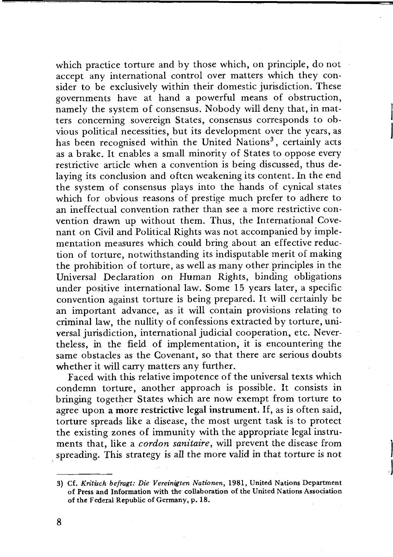which practice torture and by those which, on principle, do not accept any international control over matters which they consider to be exclusively within their domestic jurisdiction. These governments have at hand a powerful means of obstruction, namely the system of consensus. Nobody will deny that, in matters concerning sovereign States, consensus corresponds to obvious political necessities, but its development over the years, as has been recognised within the United Nations<sup>3</sup>, certainly acts as a brake. It enables a small minority of States to oppose every restrictive article when a convention is being discussed, thus delaying its conclusion and often weakening its content. In the end the system of consensus plays into the hands of cynical states which for obvious reasons of prestige much prefer to adhere to an ineffectual convention rather than see a more restrictive convention drawn up without them. Thus, the International Covenant on Civil and Political Rights was not accompanied by implementation measures which could bring about an effective reduction of torture, notwithstanding its indisputable merit of making the prohibition of torture, as well as many other principles in the Universal Declaration on Human Rights, binding obligations under positive international law. Some 15 years later, a specific convention against torture is being prepared. It will certainly be an im portant advance, as it will contain provisions relating to criminal law, the nullity of confessions extracted by torture, universal jurisdiction, international judicial cooperation, etc. Nevertheless, in the field of implementation, it is encountering the same obstacles as the Covenant, so that there are serious doubts whether it will carry matters any further.

Faced with this relative impotence of the universal texts which condemn torture, another approach is possible. It consists in bringing together States which are now exempt from torture to agree upon a more restrictive legal instrument. If, as is often said, torture spreads like a disease, the most urgent task is to protect the existing zones of immunity with the appropriate legal instruments that, like a *cordon sanitaire,* will prevent the disease from spreading. This strategy is all the more valid in that torture is not

**<sup>3)</sup> Cf.** *Kritisch befragt: Die Vereinigten Nationen,* **1981, United Nations Department o f Press and Information with the collaboration of the United Nations Association of the Federal Republic of Germany, p. 18.**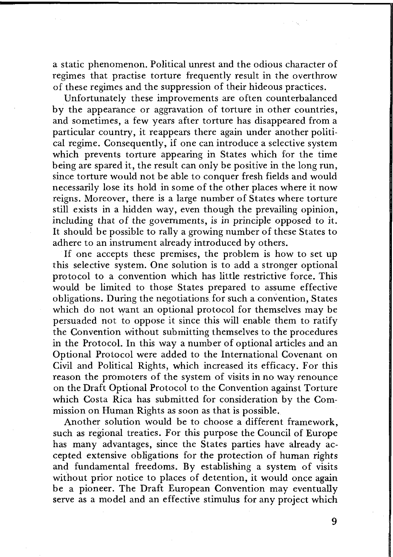a static phenomenon. Political unrest and the odious character of regimes that practise torture frequently result in the overthrow of these regimes and the suppression of their hideous practices.

Unfortunately these improvements are often counterbalanced by the appearance or aggravation of torture in other countries, and sometimes, a few years after torture has disappeared from a particular country, it reappears there again under another political regime. Consequently, if one can introduce a selective system which prevents torture appearing in States which for the time being are spared it, the result can only be positive in the long run, since torture would not be able to conquer fresh fields and would necessarily lose its hold in some of the other places where it now reigns. Moreover, there is a large number of States where torture still exists in a hidden way, even though the prevailing opinion, including that of the governments, is in principle opposed to it. It should be possible to rally a growing number of these States to adhere to an instrument already introduced by others.

If one accepts these premises, the problem is how to set up this selective system. One solution is to add a stronger optional protocol to a convention which has little restrictive force. This would be limited to those States prepared to assume effective obligations. During the negotiations for such a convention, States which do not want an optional protocol for themselves may be persuaded not to oppose it since this will enable them to ratify the Convention without submitting themselves to the procedures in the Protocol. In this way a number of optional articles and an Optional Protocol were added to the International Covenant on Civil and Political Rights, which increased its efficacy. For this reason the promoters of the system of visits in no way renounce on the Draft Optional Protocol to the Convention against Torture which Costa Rica has submitted for consideration by the Commission on Human Rights as soon as that is possible.

Another solution would be to choose a different framework, such as regional treaties. For this purpose the Council of Europe has many advantages, since the States parties have already accepted extensive obligations for the protection of human rights and fundamental freedoms. By establishing a system of visits without prior notice to places of detention, it would once again be a pioneer. The Draft European Convention may eventually serve as a model and an effective stimulus for any project which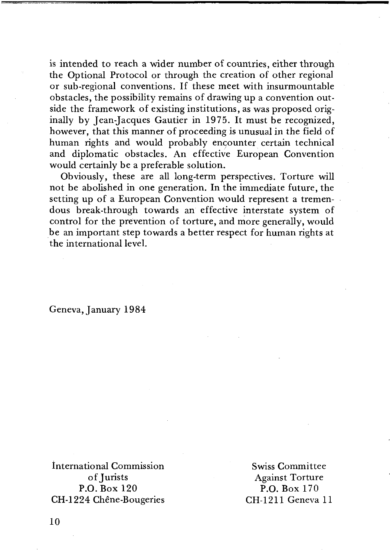is intended to reach a wider number of countries, either through the Optional Protocol or through the creation of other regional or sub-regional conventions. If these meet with insurmountable obstacles, the possibility remains of drawing up a convention outside the framework of existing institutions, as was proposed originally by Jean-Jacques Gautier in 1975. It must be recognized, however, that this manner of proceeding is unusual in the field of human rights and would probably encounter certain technical and diplomatic obstacles. An effective European Convention would certainly be a preferable solution.

Obviously, these are all long-term perspectives. Torture will not be abolished in one generation. In the immediate future, the setting up of a European Convention would represent a tremendous break-through towards an effective interstate system of control for the prevention of torture, and more generally, would be an im portant step towards a better respect for human rights at the international level.

Geneva, January 1984

International Commission Swiss Committee of Jurists Against Torture P.O. Box 120 P.O. Box 170 CH-1224 Chene-Bougeries CH-1211 Geneva 11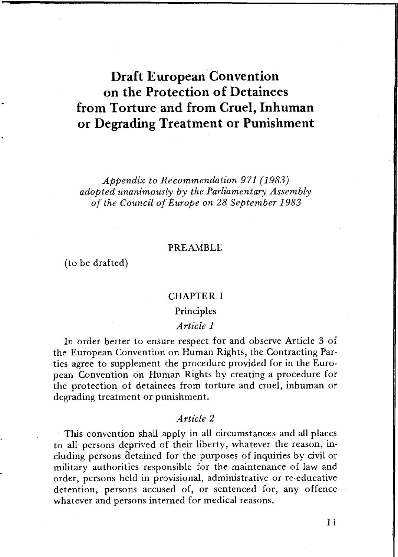# **Draft European Convention on the Protection of Detainees from Torture and from Cruel, Inhuman or Degrading Treatment or Punishment**

*Appendix to Recommendation 971 (1983) adopted unanimously by the Parliamentary Assembly* of the Council of Europe on 28 September 1983

#### PREAMBLE

(to be drafted)

#### CHAPTER I

## Principles

# *Article 1*

In order better to ensure respect for and observe Article 3 of the European Convention on Human Rights, the Contracting Parties agree to supplement the procedure provided for in the European Convention on Human Rights by creating a procedure for the protection of detainees from torture and cruel, inhuman or degrading treatment or punishment.

#### *Article 2*

This convention shall apply in all circumstances and all places to all persons deprived of their liberty, whatever the reason, including persons detained for the purposes of inquiries by civil or military authorities responsible for the maintenance of law and order, persons held in provisional, administrative or re-educative detention, persons accused of, or sentenced for, any offence whatever and persons interned for medical reasons.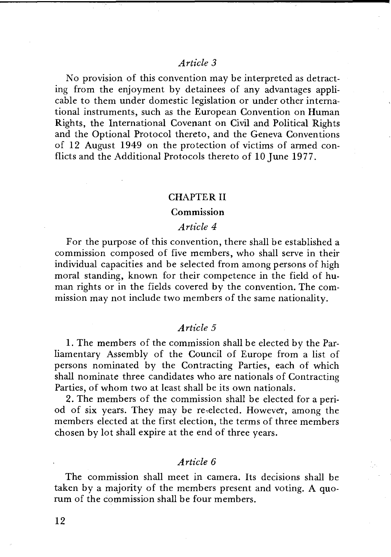No provision of this convention may be interpreted as detracting from the enjoyment by detainees of any advantages applicable to them under domestic legislation or under other international instruments, such as the European Convention on Human Rights, the International Covenant on Civil and Political Rights and the Optional Protocol thereto, and the Geneva Conventions of 12 August 1949 on the protection of victims of armed conflicts and the Additional Protocols thereto of 10 June 1977.

### CHAPTER II

#### Commission

### *Article 4*

For the purpose of this convention, there shall be established a commission composed of five members, who shall serve in their individual capacities and be selected from among persons of high moral standing, known for their competence in the field of human rights or in the fields covered by the convention. The commission may not include two members of the same nationality.

# *Article 5*

1. The members of the commission shall be elected by the Parliamentary Assembly of the Council of Europe from a list of persons nominated by the Contracting Parties, each of which shall nominate three candidates who are nationals of Contracting Parties, of whom two at least shall be its own nationals.

2. The members of the commission shall be elected for a period of six years. They may be re-elected. However, among the members elected at the first election, the terms of three members chosen by lot shall expire at the end of three years.

# *Article 6*

The commission shall meet in camera. Its decisions shall be taken by a majority of the members present and voting. A quorum of the commission shall be four members.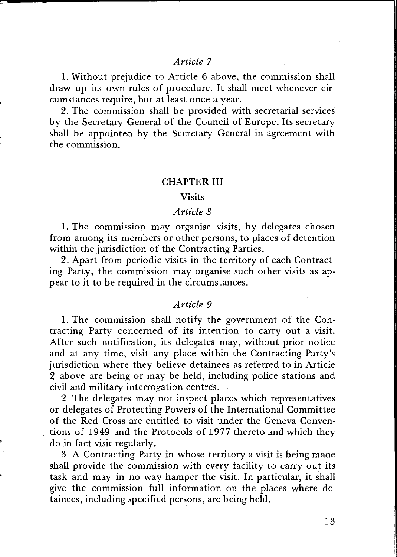1. Without prejudice to Article 6 above, the commission shall draw up its own rules of procedure. It shall meet whenever circumstances require, but at least once a year.

2. The commission shall be provided with secretarial services by the Secretary General of the Council of Europe. Its secretary shall be appointed by the Secretary General in agreement with the commission.

#### CHAPTER III

# Visits

## *Article 8*

1. The commission may organise visits, by delegates chosen from among its members or other persons, to places of detention within the jurisdiction of the Contracting Parties.

2. Apart from periodic visits in the territory of each Contracting Party, the commission may organise such other visits as appear to it to be required in the circumstances.

# *Article 9*

1. The commission shall notify the government of the Contracting Party concerned of its intention to carry out a visit. After such notification, its delegates may, without prior notice and at any time, visit any place within the Contracting Party's jurisdiction where they believe detainees as referred to in Article 2 above are being or may be held, including police stations and civil and military interrogation centres.

2. The delegates may not inspect places which representatives or delegates of Protecting Powers of the International Committee of the Red Cross are entitled to visit under the Geneva Conventions of 1949 and the Protocols of 1977 thereto and which they do in fact visit regularly.

3. A Contracting Party in whose territory a visit is being made shall provide the commission with every facility to carry out its task and may in no way hamper the visit. In particular, it shall give the commission full information on the places where detainees, including specified persons, are being held.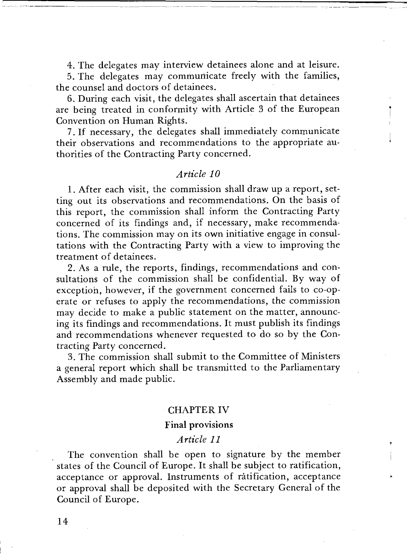4. The delegates may interview detainees alone and at leisure.

5. The delegates may communicate freely with the families, the counsel and doctors of detainees.

6. During each visit, the delegates shall ascertain that detainees are being treated in conformity with Article 3 of the European Convention on Human Rights.

7. If necessary, the delegates shall immediately communicate their observations and recommendations to the appropriate authorities of the Contracting Party concerned.

#### *Article 10*

1. After each visit, the commission shall draw up a report, setting out its observations and recommendations. On the basis of this report, the commission shall inform the Contracting Party concerned of its findings and, if necessary, make recommendations. The commission may on its own initiative engage in consultations with the Contracting Party with a view to improving the treatment of detainees.

2. As a rule, the reports, findings, recommendations and consultations of the commission shall be confidential. By way of exception, however, if the government concerned fails to co-operate or refuses to apply the recommendations, the commission may decide to make a public statement on the matter, announcing its findings and recommendations. It must publish its findings and recommendations whenever requested to do so by the Contracting Party concerned.

3. The commission shall submit to the Committee of Ministers a general report which shall be transmitted to the Parliamentary Assembly and made public.

#### CHAPTER IV

#### Final provisions

#### *Article 11*

The convention shall be open to signature by the member states of the Council of Europe. It shall be subject to ratification, acceptance or approval. Instruments of ratification, acceptance or approval shall be deposited with the Secretary General of the Council of Europe.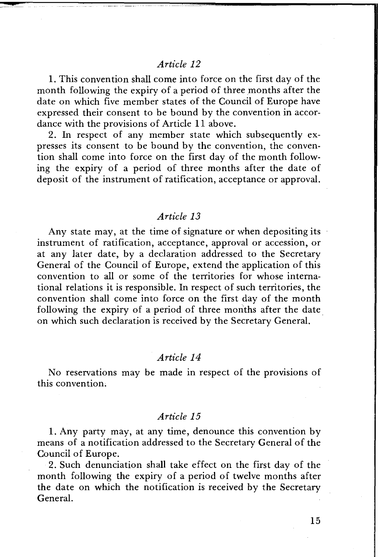1. This convention shall come into force on the first day of the month following the expiry of a period of three months after the date on which five member states of the Council of Europe have expressed their consent to be bound by the convention in accordance with the provisions of Article 11 above.

2. In respect of any member state which subsequently expresses its consent to be bound by the convention, the convention shall come into force on the first day of the month following the expiry of a period of three months after the date of deposit of the instrument of ratification, acceptance or approval.

# *Article 13*

Any state may, at the time of signature or when depositing its instrument of ratification, acceptance, approval or accession, or at any later date, by a declaration addressed to the Secretary General of the Council of Europe, extend the application of this convention to all or some of the territories for whose international relations it is responsible. In respect of such territories, the convention shall come into force on the first day of the month following the expiry of a period of three months after the date on which such declaration is received by the Secretary General.

# *Article 14*

No reservations may be made in respect of the provisions of this convention.

#### *Article 15*

1. Any party may, at any time, denounce this convention by means of a notification addressed to the Secretary General of the Council of Europe.

2. Such denunciation shall take effect on the first day of the m onth following the expiry of a period of twelve months after the date on which the notification is received by the Secretary General.